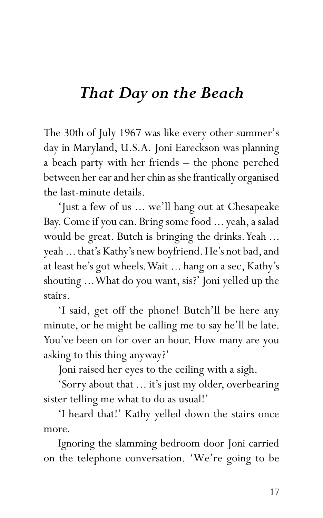## *That Day on the Beach*

The 30th of July 1967 was like every other summer's day in Maryland, U.S.A. Joni Eareckson was planning a beach party with her friends – the phone perched between her ear and her chin as she frantically organised the last-minute details.

'Just a few of us ... we'll hang out at Chesapeake Bay. Come if you can. Bring some food ... yeah, a salad would be great. Butch is bringing the drinks. Yeah ... yeah ... that's Kathy's new boyfriend. He's not bad, and at least he's got wheels. Wait ... hang on a sec, Kathy's shouting ... What do you want, sis?' Joni yelled up the stairs.

'I said, get off the phone! Butch'll be here any minute, or he might be calling me to say he'll be late. You've been on for over an hour. How many are you asking to this thing anyway?'

Joni raised her eyes to the ceiling with a sigh.

'Sorry about that ... it's just my older, overbearing sister telling me what to do as usual!'

'I heard that!' Kathy yelled down the stairs once more.

Ignoring the slamming bedroom door Joni carried on the telephone conversation. 'We're going to be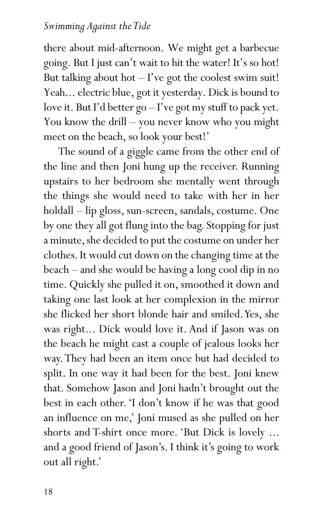there about mid-afternoon. We might get a barbecue going. But I just can't wait to hit the water! It's so hot! But talking about hot  $-$  I've got the coolest swim suit! Yeah... electric blue, got it yesterday. Dick is bound to love it. But I'd better go – I've got my stuff to pack yet. You know the drill – you never know who you might meet on the beach, so look your best!'

The sound of a giggle came from the other end of the line and then Joni hung up the receiver. Running upstairs to her bedroom she mentally went through the things she would need to take with her in her holdall – lip gloss, sun-screen, sandals, costume. One by one they all got flung into the bag. Stopping for just a minute, she decided to put the costume on under her clothes. It would cut down on the changing time at the beach – and she would be having a long cool dip in no time. Quickly she pulled it on, smoothed it down and taking one last look at her complexion in the mirror she flicked her short blonde hair and smiled. Yes, she was right... Dick would love it. And if Jason was on the beach he might cast a couple of jealous looks her way. They had been an item once but had decided to split. In one way it had been for the best. Joni knew that. Somehow Jason and Joni hadn't brought out the best in each other. 'I don't know if he was that good an influence on me,' Joni mused as she pulled on her shorts and T-shirt once more. 'But Dick is lovely ... and a good friend of Jason's. I think it's going to work out all right.'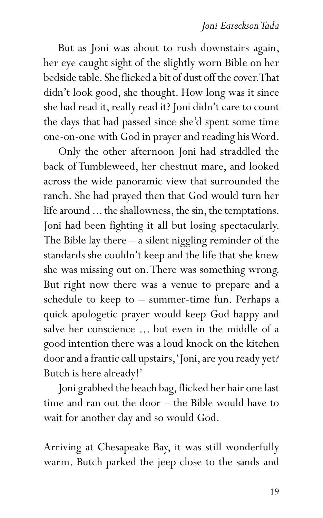But as Joni was about to rush downstairs again, her eye caught sight of the slightly worn Bible on her bedside table. She flicked a bit of dust off the cover. That didn't look good, she thought. How long was it since she had read it, really read it? Joni didn't care to count the days that had passed since she'd spent some time one-on-one with God in prayer and reading his Word.

Only the other afternoon Joni had straddled the back of Tumbleweed, her chestnut mare, and looked across the wide panoramic view that surrounded the ranch. She had prayed then that God would turn her life around ... the shallowness, the sin, the temptations. Joni had been fighting it all but losing spectacularly. The Bible lay there – a silent niggling reminder of the standards she couldn't keep and the life that she knew she was missing out on. There was something wrong. But right now there was a venue to prepare and a schedule to keep to – summer-time fun. Perhaps a quick apologetic prayer would keep God happy and salve her conscience ... but even in the middle of a good intention there was a loud knock on the kitchen door and a frantic call upstairs, 'Joni, are you ready yet? Butch is here already!'

Joni grabbed the beach bag, flicked her hair one last time and ran out the door – the Bible would have to wait for another day and so would God.

Arriving at Chesapeake Bay, it was still wonderfully warm. Butch parked the jeep close to the sands and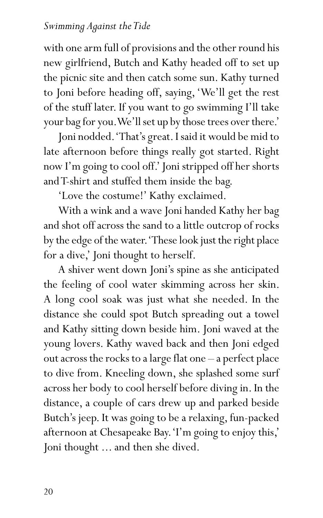## *Swimming Against the Tide*

with one arm full of provisions and the other round his new girlfriend, Butch and Kathy headed off to set up the picnic site and then catch some sun. Kathy turned to Joni before heading off, saying, 'We'll get the rest of the stuff later. If you want to go swimming I'll take your bag for you. We'll set up by those trees over there.'

Joni nodded. 'That's great. I said it would be mid to late afternoon before things really got started. Right now I'm going to cool off.' Joni stripped off her shorts and T-shirt and stuffed them inside the bag.

'Love the costume!' Kathy exclaimed.

With a wink and a wave Joni handed Kathy her bag and shot off across the sand to a little outcrop of rocks by the edge of the water. 'These look just the right place for a dive,' Joni thought to herself.

A shiver went down Joni's spine as she anticipated the feeling of cool water skimming across her skin. A long cool soak was just what she needed. In the distance she could spot Butch spreading out a towel and Kathy sitting down beside him. Joni waved at the young lovers. Kathy waved back and then Joni edged out across the rocks to a large flat one – a perfect place to dive from. Kneeling down, she splashed some surf across her body to cool herself before diving in. In the distance, a couple of cars drew up and parked beside Butch's jeep. It was going to be a relaxing, fun-packed afternoon at Chesapeake Bay. 'I'm going to enjoy this,' Joni thought ... and then she dived.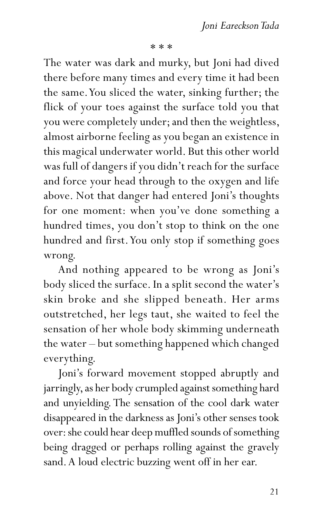\* \* \*

The water was dark and murky, but Joni had dived there before many times and every time it had been the same. You sliced the water, sinking further; the flick of your toes against the surface told you that you were completely under; and then the weightless, almost airborne feeling as you began an existence in this magical underwater world. But this other world was full of dangers if you didn't reach for the surface and force your head through to the oxygen and life above. Not that danger had entered Joni's thoughts for one moment: when you've done something a hundred times, you don't stop to think on the one hundred and first. You only stop if something goes wrong.

And nothing appeared to be wrong as Joni's body sliced the surface. In a split second the water's skin broke and she slipped beneath. Her arms outstretched, her legs taut, she waited to feel the sensation of her whole body skimming underneath the water – but something happened which changed everything.

Joni's forward movement stopped abruptly and jarringly, as her body crumpled against something hard and unyielding. The sensation of the cool dark water disappeared in the darkness as Joni's other senses took over: she could hear deep muffled sounds of something being dragged or perhaps rolling against the gravely sand. A loud electric buzzing went off in her ear.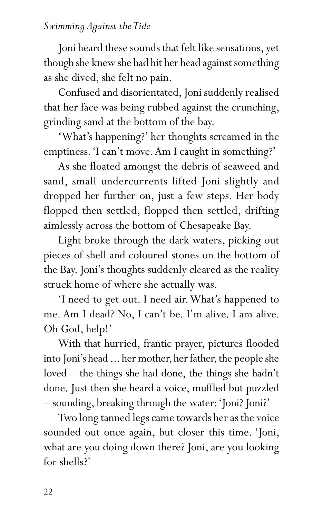## *Swimming Against the Tide*

Joni heard these sounds that felt like sensations, yet though she knew she had hit her head against something as she dived, she felt no pain.

Confused and disorientated, Joni suddenly realised that her face was being rubbed against the crunching, grinding sand at the bottom of the bay.

'What's happening?' her thoughts screamed in the emptiness. 'I can't move. Am I caught in something?'

As she floated amongst the debris of seaweed and sand, small undercurrents lifted Joni slightly and dropped her further on, just a few steps. Her body flopped then settled, flopped then settled, drifting aimlessly across the bottom of Chesapeake Bay.

Light broke through the dark waters, picking out pieces of shell and coloured stones on the bottom of the Bay. Joni's thoughts suddenly cleared as the reality struck home of where she actually was.

'I need to get out. I need air. What's happened to me. Am I dead? No, I can't be. I'm alive. I am alive. Oh God, help!'

With that hurried, frantic prayer, pictures flooded into Joni's head ... her mother, her father, the people she loved – the things she had done, the things she hadn't done. Just then she heard a voice, muffled but puzzled – sounding, breaking through the water: 'Joni? Joni?'

Two long tanned legs came towards her as the voice sounded out once again, but closer this time. 'Joni, what are you doing down there? Joni, are you looking for shells?'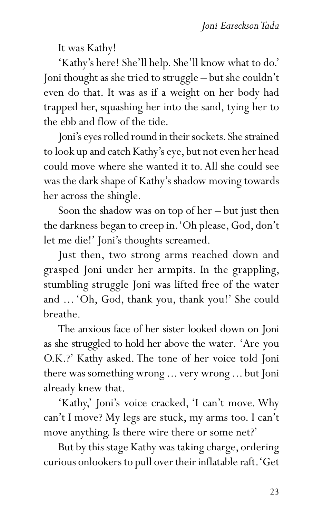It was Kathy!

'Kathy's here! She'll help. She'll know what to do.' Joni thought as she tried to struggle – but she couldn't even do that. It was as if a weight on her body had trapped her, squashing her into the sand, tying her to the ebb and flow of the tide.

Joni's eyes rolled round in their sockets. She strained to look up and catch Kathy's eye, but not even her head could move where she wanted it to. All she could see was the dark shape of Kathy's shadow moving towards her across the shingle.

Soon the shadow was on top of her – but just then the darkness began to creep in. 'Oh please, God, don't let me die!' Joni's thoughts screamed.

Just then, two strong arms reached down and grasped Joni under her armpits. In the grappling, stumbling struggle Joni was lifted free of the water and ... 'Oh, God, thank you, thank you!' She could breathe.

The anxious face of her sister looked down on Joni as she struggled to hold her above the water. 'Are you O.K.?' Kathy asked. The tone of her voice told Joni there was something wrong ... very wrong ... but Joni already knew that.

'Kathy,' Joni's voice cracked, 'I can't move. Why can't I move? My legs are stuck, my arms too. I can't move anything. Is there wire there or some net?'

But by this stage Kathy was taking charge, ordering curious onlookers to pull over their inflatable raft. 'Get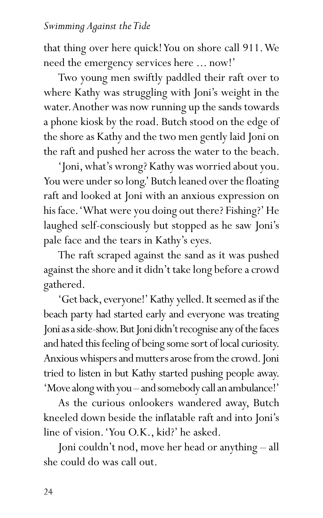that thing over here quick! You on shore call 911. We need the emergency services here ... now!'

Two young men swiftly paddled their raft over to where Kathy was struggling with Joni's weight in the water. Another was now running up the sands towards a phone kiosk by the road. Butch stood on the edge of the shore as Kathy and the two men gently laid Joni on the raft and pushed her across the water to the beach.

'Joni, what's wrong? Kathy was worried about you. You were under so long.' Butch leaned over the floating raft and looked at Joni with an anxious expression on his face. 'What were you doing out there? Fishing?' He laughed self-consciously but stopped as he saw Joni's pale face and the tears in Kathy's eyes.

The raft scraped against the sand as it was pushed against the shore and it didn't take long before a crowd gathered.

'Get back, everyone!' Kathy yelled. It seemed as if the beach party had started early and everyone was treating Joni as a side-show. But Joni didn't recognise any of the faces and hated this feeling of being some sort of local curiosity. Anxious whispers and mutters arose from the crowd. Joni tried to listen in but Kathy started pushing people away. 'Move along with you – and somebody call an ambulance!'

As the curious onlookers wandered away, Butch kneeled down beside the inflatable raft and into Joni's line of vision. 'You O.K., kid?' he asked.

Joni couldn't nod, move her head or anything – all she could do was call out.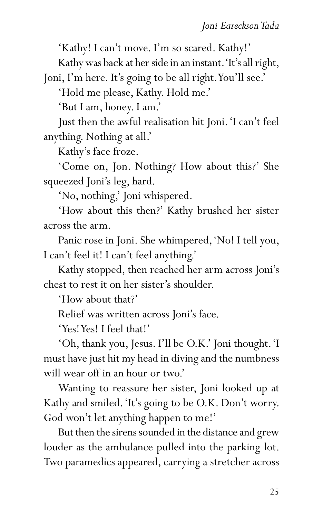'Kathy! I can't move. I'm so scared. Kathy!'

Kathy was back at her side in an instant. 'It's all right,

Joni, I'm here. It's going to be all right. You'll see.'

'Hold me please, Kathy. Hold me.'

'But I am, honey. I am.'

Just then the awful realisation hit Joni. 'I can't feel anything. Nothing at all.'

Kathy's face froze.

'Come on, Jon. Nothing? How about this?' She squeezed Joni's leg, hard.

'No, nothing,' Joni whispered.

'How about this then?' Kathy brushed her sister across the arm.

Panic rose in Joni. She whimpered, 'No! I tell you, I can't feel it! I can't feel anything.'

Kathy stopped, then reached her arm across Joni's chest to rest it on her sister's shoulder.

'How about that?'

Relief was written across Joni's face.

'Yes! Yes! I feel that!'

'Oh, thank you, Jesus. I'll be O.K.' Joni thought. 'I must have just hit my head in diving and the numbness will wear off in an hour or two.'

Wanting to reassure her sister, Joni looked up at Kathy and smiled. 'It's going to be O.K. Don't worry. God won't let anything happen to me!'

But then the sirens sounded in the distance and grew louder as the ambulance pulled into the parking lot. Two paramedics appeared, carrying a stretcher across